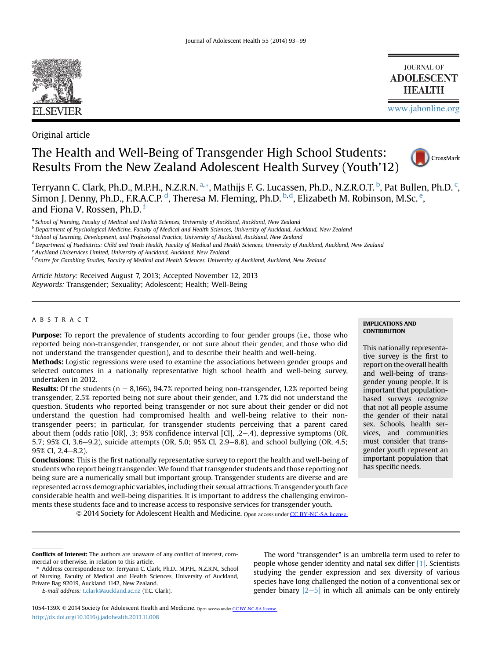

Original article

# The Health and Well-Being of Transgender High School Students: Results From the New Zealand Adolescent Health Survey (Youth'12)



[www.jahonline.org](http://www.jahonline.org)

**JOURNAL OF ADOLESCENT HEALTH** 

Terryann C. Clark, Ph.D., M.P.H., N.Z.R.N. <sup>a, \*</sup>, Mathijs F. G. Lucassen, Ph.D., N.Z.R.O.T. <sup>b</sup>, Pat Bullen, Ph.D. <sup>c</sup>, Simon J. Denny, Ph.D., F.R.A.C.P. <sup>d</sup>, Theresa M. Fleming, Ph.D. <sup>b, d</sup>, Elizabeth M. Robinson, M.Sc. <sup>e</sup>, and Fiona V. Rossen, Ph.D.<sup>f</sup>

a School of Nursing, Faculty of Medical and Health Sciences, University of Auckland, Auckland, New Zealand

<sup>b</sup> Department of Psychological Medicine, Faculty of Medical and Health Sciences, University of Auckland, Auckland, New Zealand

<sup>d</sup> Department of Paediatrics: Child and Youth Health, Faculty of Medical and Health Sciences, University of Auckland, Auckland, New Zealand

f Centre for Gambling Studies, Faculty of Medical and Health Sciences, University of Auckland, Auckland, New Zealand

Article history: Received August 7, 2013; Accepted November 12, 2013 Keywords: Transgender; Sexuality; Adolescent; Health; Well-Being

# ABSTRACT

Purpose: To report the prevalence of students according to four gender groups (i.e., those who reported being non-transgender, transgender, or not sure about their gender, and those who did not understand the transgender question), and to describe their health and well-being.

Methods: Logistic regressions were used to examine the associations between gender groups and selected outcomes in a nationally representative high school health and well-being survey, undertaken in 2012.

**Results:** Of the students ( $n = 8,166$ ), 94.7% reported being non-transgender, 1.2% reported being transgender, 2.5% reported being not sure about their gender, and 1.7% did not understand the question. Students who reported being transgender or not sure about their gender or did not understand the question had compromised health and well-being relative to their nontransgender peers; in particular, for transgender students perceiving that a parent cared about them (odds ratio [OR], .3;  $95\%$  confidence interval [CI], .2–.4), depressive symptoms (OR, 5.7; 95% CI, 3.6–9.2), suicide attempts (OR, 5.0; 95% CI, 2.9–8.8), and school bullying (OR, 4.5; 95% CI, 2.4-8.2).

Conclusions: This is the first nationally representative survey to report the health and well-being of students who report being transgender. We found that transgender students and those reporting not being sure are a numerically small but important group. Transgender students are diverse and are represented across demographic variables, including their sexual attractions. Transgender youth face considerable health and well-being disparities. It is important to address the challenging environments these students face and to increase access to responsive services for transgender youth.

© 2014 Society for Adolescent Health and Medicine. Open access under [CC BY-NC-SA license.](http://creativecommons.org/licenses/by-nc-sa/3.0/)

## IMPLICATIONS AND **CONTRIBUTION**

This nationally representative survey is the first to report on the overall health and well-being of transgender young people. It is important that populationbased surveys recognize that not all people assume the gender of their natal sex. Schools, health services, and communities must consider that transgender youth represent an important population that has specific needs.

E-mail address: [t.clark@auckland.ac.nz](mailto:t.clark@auckland.ac.nz) (T.C. Clark).

The word "transgender" is an umbrella term used to refer to people whose gender identity and natal sex differ [\[1\].](#page-5-0) Scientists studying the gender expression and sex diversity of various species have long challenged the notion of a conventional sex or gender binary  $\left[2-5\right]$  $\left[2-5\right]$  $\left[2-5\right]$  in which all animals can be only entirely

<sup>&</sup>lt;sup>c</sup> School of Learning, Development, and Professional Practice, University of Auckland, Auckland, New Zealand

e Auckland Uniservices Limited, University of Auckland, Auckland, New Zealand

Conflicts of Interest: The authors are unaware of any conflict of interest, commercial or otherwise, in relation to this article.

Address correspondence to: Terryann C. Clark, Ph.D., M.P.H., N.Z.R.N., School of Nursing, Faculty of Medical and Health Sciences, University of Auckland, Private Bag 92019, Auckland 1142, New Zealand.

<sup>1054-139</sup>X © 2014 Society for Adolescent Health and Medicine. Open access under [CC BY-NC-SA license.](http://creativecommons.org/licenses/by-nc-sa/3.0/) <http://dx.doi.org/10.1016/j.jadohealth.2013.11.008>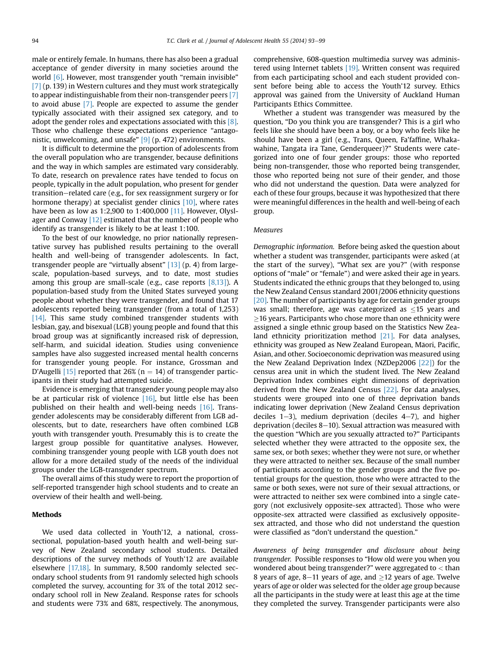male or entirely female. In humans, there has also been a gradual acceptance of gender diversity in many societies around the world [\[6\]](#page-5-0). However, most transgender youth "remain invisible" [\[7\]](#page-5-0) (p. 139) in Western cultures and they must work strategically to appear indistinguishable from their non-transgender peers [\[7\]](#page-5-0) to avoid abuse [\[7\]](#page-5-0). People are expected to assume the gender typically associated with their assigned sex category, and to adopt the gender roles and expectations associated with this [\[8\].](#page-5-0) Those who challenge these expectations experience "antagonistic, unwelcoming, and unsafe" [\[9\]](#page-5-0) (p. 472) environments.

It is difficult to determine the proportion of adolescents from the overall population who are transgender, because definitions and the way in which samples are estimated vary considerably. To date, research on prevalence rates have tended to focus on people, typically in the adult population, who present for gender transition–related care (e.g., for sex reassignment surgery or for hormone therapy) at specialist gender clinics [\[10\]](#page-5-0), where rates have been as low as 1:2,900 to 1:400,000 [\[11\].](#page-5-0) However, Olysl-ager and Conway [\[12\]](#page-6-0) estimated that the number of people who identify as transgender is likely to be at least 1:100.

To the best of our knowledge, no prior nationally representative survey has published results pertaining to the overall health and well-being of transgender adolescents. In fact, transgender people are "virtually absent" [\[13\]](#page-6-0) (p. 4) from largescale, population-based surveys, and to date, most studies among this group are small-scale (e.g., case reports  $[8,13]$ ). A population-based study from the United States surveyed young people about whether they were transgender, and found that 17 adolescents reported being transgender (from a total of 1,253) [\[14\]](#page-6-0). This same study combined transgender students with lesbian, gay, and bisexual (LGB) young people and found that this broad group was at significantly increased risk of depression, self-harm, and suicidal ideation. Studies using convenience samples have also suggested increased mental health concerns for transgender young people. For instance, Grossman and D'Augelli [\[15\]](#page-6-0) reported that 26% ( $n = 14$ ) of transgender participants in their study had attempted suicide.

Evidence is emerging that transgender young people may also be at particular risk of violence [\[16\],](#page-6-0) but little else has been published on their health and well-being needs [\[16\].](#page-6-0) Transgender adolescents may be considerably different from LGB adolescents, but to date, researchers have often combined LGB youth with transgender youth. Presumably this is to create the largest group possible for quantitative analyses. However, combining transgender young people with LGB youth does not allow for a more detailed study of the needs of the individual groups under the LGB-transgender spectrum.

The overall aims of this study were to report the proportion of self-reported transgender high school students and to create an overview of their health and well-being.

## Methods

We used data collected in Youth'12, a national, crosssectional, population-based youth health and well-being survey of New Zealand secondary school students. Detailed descriptions of the survey methods of Youth'12 are available elsewhere [\[17,18\]](#page-6-0). In summary, 8,500 randomly selected secondary school students from 91 randomly selected high schools completed the survey, accounting for 3% of the total 2012 secondary school roll in New Zealand. Response rates for schools and students were 73% and 68%, respectively. The anonymous,

comprehensive, 608-question multimedia survey was administered using Internet tablets  $[19]$ . Written consent was required from each participating school and each student provided consent before being able to access the Youth'12 survey. Ethics approval was gained from the University of Auckland Human Participants Ethics Committee.

Whether a student was transgender was measured by the question, "Do you think you are transgender? This is a girl who feels like she should have been a boy, or a boy who feels like he should have been a girl (e.g., Trans, Queen, Fa'faffine, Whakawahine, Tangata ira Tane, Genderqueer)?" Students were categorized into one of four gender groups: those who reported being non-transgender, those who reported being transgender, those who reported being not sure of their gender, and those who did not understand the question. Data were analyzed for each of these four groups, because it was hypothesized that there were meaningful differences in the health and well-being of each group.

#### **Measures**

Demographic information. Before being asked the question about whether a student was transgender, participants were asked (at the start of the survey), "What sex are you?" (with response options of "male" or "female") and were asked their age in years. Students indicated the ethnic groups that they belonged to, using the New Zealand Census standard 2001/2006 ethnicity questions [\[20\]](#page-6-0). The number of participants by age for certain gender groups was small; therefore, age was categorized as  $\leq$ 15 years and  $\geq$ 16 years. Participants who chose more than one ethnicity were assigned a single ethnic group based on the Statistics New Zea-land ethnicity prioritization method [\[21\]](#page-6-0). For data analyses, ethnicity was grouped as New Zealand European, Māori, Pacific, Asian, and other. Socioeconomic deprivation was measured using the New Zealand Deprivation Index (NZDep2006 [\[22\]\)](#page-6-0) for the census area unit in which the student lived. The New Zealand Deprivation Index combines eight dimensions of deprivation derived from the New Zealand Census [\[22\].](#page-6-0) For data analyses, students were grouped into one of three deprivation bands indicating lower deprivation (New Zealand Census deprivation deciles  $1-3$ ), medium deprivation (deciles  $4-7$ ), and higher deprivation (deciles  $8-10$ ). Sexual attraction was measured with the question "Which are you sexually attracted to?" Participants selected whether they were attracted to the opposite sex, the same sex, or both sexes; whether they were not sure, or whether they were attracted to neither sex. Because of the small number of participants according to the gender groups and the five potential groups for the question, those who were attracted to the same or both sexes, were not sure of their sexual attractions, or were attracted to neither sex were combined into a single category (not exclusively opposite-sex attracted). Those who were opposite-sex attracted were classified as exclusively oppositesex attracted, and those who did not understand the question were classified as "don't understand the question."

Awareness of being transgender and disclosure about being transgender. Possible responses to "How old were you when you wondered about being transgender?" were aggregated to < than 8 years of age, 8–11 years of age, and  $\geq$ 12 years of age. Twelve years of age or older was selected for the older age group because all the participants in the study were at least this age at the time they completed the survey. Transgender participants were also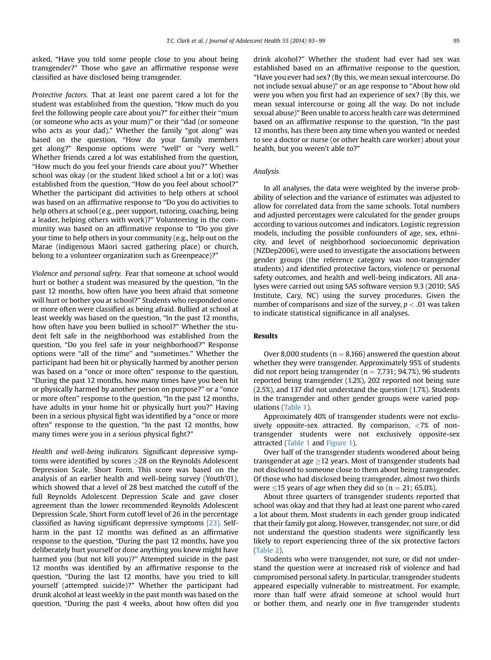asked, "Have you told some people close to you about being transgender?" Those who gave an affirmative response were classified as have disclosed being transgender.

Protective factors. That at least one parent cared a lot for the student was established from the question, "How much do you feel the following people care about you?" for either their "mum (or someone who acts as your mum)" or their "dad (or someone who acts as your dad)." Whether the family "got along" was based on the question, "How do your family members get along?" Response options were "well" or "very well." Whether friends cared a lot was established from the question, "How much do you feel your friends care about you?" Whether school was okay (or the student liked school a bit or a lot) was established from the question, "How do you feel about school?" Whether the participant did activities to help others at school was based on an affirmative response to "Do you do activities to help others at school (e.g., peer support, tutoring, coaching, being a leader, helping others with work)?" Volunteering in the community was based on an affirmative response to "Do you give your time to help others in your community (e.g., help out on the Marae (indigenous Māori sacred gathering place) or church, belong to a volunteer organization such as Greenpeace)?"

Violence and personal safety. Fear that someone at school would hurt or bother a student was measured by the question, "In the past 12 months, how often have you been afraid that someone will hurt or bother you at school?" Students who responded once or more often were classified as being afraid. Bullied at school at least weekly was based on the question, "In the past 12 months, how often have you been bullied in school?" Whether the student felt safe in the neighborhood was established from the question, "Do you feel safe in your neighborhood?" Response options were "all of the time" and "sometimes." Whether the participant had been hit or physically harmed by another person was based on a "once or more often" response to the question, "During the past 12 months, how many times have you been hit or physically harmed by another person on purpose?" or a "once or more often" response to the question, "In the past 12 months, have adults in your home hit or physically hurt you?" Having been in a serious physical fight was identified by a "once or more often" response to the question, "In the past 12 months, how many times were you in a serious physical fight?"

Health and well-being indicators. Significant depressive symptoms were identified by scores  $\geq$  28 on the Reynolds Adolescent Depression Scale, Short Form. This score was based on the analysis of an earlier health and well-being survey (Youth'01), which showed that a level of 28 best matched the cutoff of the full Reynolds Adolescent Depression Scale and gave closer agreement than the lower recommended Reynolds Adolescent Depression Scale, Short Form cutoff level of 26 in the percentage classified as having significant depressive symptoms [\[23\].](#page-6-0) Selfharm in the past 12 months was defined as an affirmative response to the question, "During the past 12 months, have you deliberately hurt yourself or done anything you knew might have harmed you (but not kill you)?" Attempted suicide in the past 12 months was identified by an affirmative response to the question, "During the last 12 months, have you tried to kill yourself (attempted suicide)?" Whether the participant had drunk alcohol at least weekly in the past month was based on the question, "During the past 4 weeks, about how often did you

drink alcohol?" Whether the student had ever had sex was established based on an affirmative response to the question, "Have you ever had sex? (By this, we mean sexual intercourse. Do not include sexual abuse)" or an age response to "About how old were you when you first had an experience of sex? (By this, we mean sexual intercourse or going all the way. Do not include sexual abuse)" Been unable to access health care was determined based on an affirmative response to the question, "In the past 12 months, has there been any time when you wanted or needed to see a doctor or nurse (or other health care worker) about your health, but you weren't able to?"

# Analysis

In all analyses, the data were weighted by the inverse probability of selection and the variance of estimates was adjusted to allow for correlated data from the same schools. Total numbers and adjusted percentages were calculated for the gender groups according to various outcomes and indicators. Logistic regression models, including the possible confounders of age, sex, ethnicity, and level of neighborhood socioeconomic deprivation (NZDep2006), were used to investigate the associations between gender groups (the reference category was non-transgender students) and identified protective factors, violence or personal safety outcomes, and health and well-being indicators. All analyses were carried out using SAS software version 9.3 (2010; SAS Institute, Cary, NC) using the survey procedures. Given the number of comparisons and size of the survey,  $p < .01$  was taken to indicate statistical significance in all analyses.

## Results

Over 8,000 students ( $n = 8,166$ ) answered the question about whether they were transgender. Approximately 95% of students did not report being transgender ( $n = 7.731$ ; 94.7%), 96 students reported being transgender (1.2%), 202 reported not being sure (2.5%), and 137 did not understand the question (1.7%). Students in the transgender and other gender groups were varied populations [\(Table 1\)](#page-3-0).

Approximately 40% of transgender students were not exclusively opposite-sex attracted. By comparison, <7% of nontransgender students were not exclusively opposite-sex attracted ([Table 1](#page-3-0) and [Figure 1\)](#page-3-0).

Over half of the transgender students wondered about being transgender at age  $>12$  years. Most of transgender students had not disclosed to someone close to them about being transgender. Of those who had disclosed being transgender, almost two thirds were  $\leq$ 15 years of age when they did so (n = 21; 65.0%).

About three quarters of transgender students reported that school was okay and that they had at least one parent who cared a lot about them. Most students in each gender group indicated that their family got along. However, transgender, not sure, or did not understand the question students were significantly less likely to report experiencing three of the six protective factors ([Table 2\)](#page-4-0).

Students who were transgender, not sure, or did not understand the question were at increased risk of violence and had compromised personal safety. In particular, transgender students appeared especially vulnerable to mistreatment. For example, more than half were afraid someone at school would hurt or bother them, and nearly one in five transgender students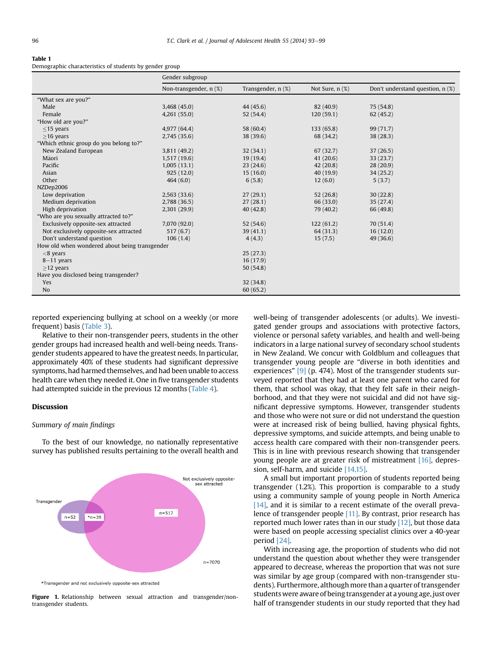#### <span id="page-3-0"></span>Table 1

Demographic characteristics of students by gender group

|                                               | Gender subgroup        |                    |                 |                                  |
|-----------------------------------------------|------------------------|--------------------|-----------------|----------------------------------|
|                                               | Non-transgender, n (%) | Transgender, n (%) | Not Sure, n (%) | Don't understand question, n (%) |
| "What sex are you?"                           |                        |                    |                 |                                  |
| Male                                          | 3,468 (45.0)           | 44 (45.6)          | 82 (40.9)       | 75 (54.8)                        |
| Female                                        | 4,261(55.0)            | 52(54.4)           | 120(59.1)       | 62(45.2)                         |
| "How old are you?"                            |                        |                    |                 |                                  |
| $\leq$ 15 years                               | 4,977 (64.4)           | 58 (60.4)          | 133(65.8)       | 99 (71.7)                        |
| $>16$ years                                   | 2,745 (35.6)           | 38 (39.6)          | 68 (34.2)       | 38(28.3)                         |
| "Which ethnic group do you belong to?"        |                        |                    |                 |                                  |
| New Zealand European                          | 3,811 (49.2)           | 32(34.1)           | 67(32.7)        | 37(26.5)                         |
| Māori                                         | 1,517 (19.6)           | 19(19.4)           | 41(20.6)        | 33(23.7)                         |
| Pacific                                       | 1,005(13.1)            | 23(24.6)           | 42(20.8)        | 28(20.9)                         |
| Asian                                         | 925(12.0)              | 15(16.0)           | 40 (19.9)       | 34(25.2)                         |
| Other                                         | 464(6.0)               | 6(5.8)             | 12(6.0)         | 5(3.7)                           |
| NZDep2006                                     |                        |                    |                 |                                  |
| Low deprivation                               | 2,563(33.6)            | 27(29.1)           | 52(26.8)        | 30(22.8)                         |
| Medium deprivation                            | 2,788 (36.5)           | 27(28.1)           | 66 (33.0)       | 35(27.4)                         |
| High deprivation                              | 2,301 (29.9)           | 40(42.8)           | 79 (40.2)       | 66 (49.8)                        |
| "Who are you sexually attracted to?"          |                        |                    |                 |                                  |
| Exclusively opposite-sex attracted            | 7,070 (92.0)           | 52(54.6)           | 122(61.2)       | 70(51.4)                         |
| Not exclusively opposite-sex attracted        | 517(6.7)               | 39(41.1)           | 64 (31.3)       | 16(12.0)                         |
| Don't understand question                     | 106(1.4)               | 4(4.3)             | 15(7.5)         | 49 (36.6)                        |
| How old when wondered about being transgender |                        |                    |                 |                                  |
| $<$ 8 years                                   |                        | 25(27.3)           |                 |                                  |
| $8-11$ years                                  |                        | 16 (17.9)          |                 |                                  |
| $>12$ years                                   |                        | 50 (54.8)          |                 |                                  |
| Have you disclosed being transgender?         |                        |                    |                 |                                  |
| Yes                                           |                        | 32(34.8)           |                 |                                  |
| N <sub>o</sub>                                |                        | 60(65.2)           |                 |                                  |

reported experiencing bullying at school on a weekly (or more frequent) basis [\(Table 3\)](#page-4-0).

Relative to their non-transgender peers, students in the other gender groups had increased health and well-being needs. Transgender students appeared to have the greatest needs. In particular, approximately 40% of these students had significant depressive symptoms, had harmed themselves, and had been unable to access health care when they needed it. One in five transgender students had attempted suicide in the previous 12 months ([Table 4\)](#page-5-0).

## Discussion

## Summary of main findings

To the best of our knowledge, no nationally representative survey has published results pertaining to the overall health and



\*Transgender and not exclusively opposite-sex attracted

Figure 1. Relationship between sexual attraction and transgender/nontransgender students.

well-being of transgender adolescents (or adults). We investigated gender groups and associations with protective factors, violence or personal safety variables, and health and well-being indicators in a large national survey of secondary school students in New Zealand. We concur with Goldblum and colleagues that transgender young people are "diverse in both identities and experiences"  $[9]$  (p. 474). Most of the transgender students surveyed reported that they had at least one parent who cared for them, that school was okay, that they felt safe in their neighborhood, and that they were not suicidal and did not have significant depressive symptoms. However, transgender students and those who were not sure or did not understand the question were at increased risk of being bullied, having physical fights, depressive symptoms, and suicide attempts, and being unable to access health care compared with their non-transgender peers. This is in line with previous research showing that transgender young people are at greater risk of mistreatment [\[16\],](#page-6-0) depression, self-harm, and suicide [\[14,15\]](#page-6-0).

A small but important proportion of students reported being transgender (1.2%). This proportion is comparable to a study using a community sample of young people in North America  $[14]$ , and it is similar to a recent estimate of the overall preva-lence of transgender people [\[11\]](#page-5-0). By contrast, prior research has reported much lower rates than in our study  $[12]$ , but those data were based on people accessing specialist clinics over a 40-year period [\[24\].](#page-6-0)

With increasing age, the proportion of students who did not understand the question about whether they were transgender appeared to decrease, whereas the proportion that was not sure was similar by age group (compared with non-transgender students). Furthermore, although more than a quarter of transgender students were aware of being transgender at a young age, just over half of transgender students in our study reported that they had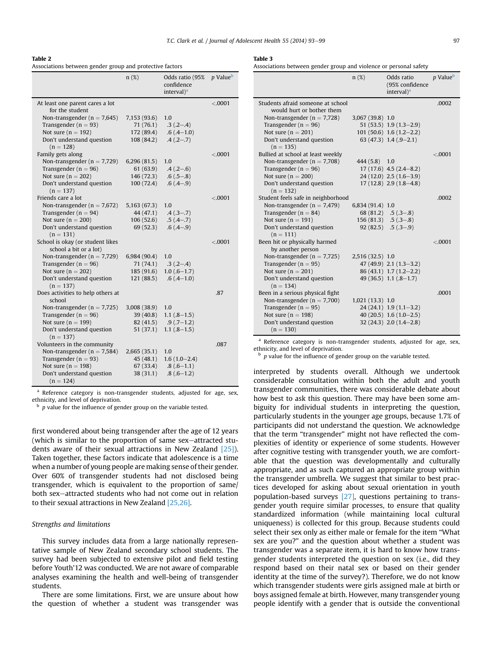## <span id="page-4-0"></span>Table 2

Associations between gender group and protective factors

|                                             | $n(\%)$      | Odds ratio (95%<br>confidence<br>interval) <sup>a</sup> | <i>p</i> Value <sup>b</sup> |
|---------------------------------------------|--------------|---------------------------------------------------------|-----------------------------|
| At least one parent cares a lot             |              |                                                         | < 0.0001                    |
| for the student                             |              |                                                         |                             |
| Non-transgender ( $n = 7,645$ )             | 7,153 (93.6) | 1.0                                                     |                             |
| Transgender ( $n = 93$ )                    | 71 (76.1)    | $.3( .2 - .4)$                                          |                             |
| Not sure $(n = 192)$                        | 172 (89.4)   | $.6(.4-1.0)$                                            |                             |
| Don't understand question<br>$(n = 128)$    | 108(84.2)    | $.4(.2-.7)$                                             |                             |
| Family gets along                           |              |                                                         | < 0.0001                    |
| Non-transgender ( $n = 7,729$ )             | 6,296(81.5)  | 1.0                                                     |                             |
| Transgender ( $n = 96$ )                    | 61(63.9)     | $.4(.2-.6)$                                             |                             |
| Not sure $(n = 202)$                        | 146 (72.3)   | $.6(.5-.8)$                                             |                             |
| Don't understand question<br>$(n = 137)$    | 100(72.4)    | $.6(.4-.9)$                                             |                             |
| Friends care a lot                          |              |                                                         | < 0.0001                    |
| Non-transgender ( $n = 7,672$ )             | 5,163 (67.3) | 1.0                                                     |                             |
| Transgender ( $n = 94$ )                    | 44 (47.1)    | $.4(.3-.7)$                                             |                             |
| Not sure $(n = 200)$                        | 106(52.6)    | $.5(.4-.7)$                                             |                             |
| Don't understand question<br>$(n = 131)$    | 69 (52.3)    | $.6(.4-.9)$                                             |                             |
| School is okay (or student likes            |              |                                                         | < 0.0001                    |
| school a bit or a lot)                      |              |                                                         |                             |
| Non-transgender ( $n = 7,729$ )             | 6,984 (90.4) | 1.0                                                     |                             |
| Transgender ( $n = 96$ )                    | 71(74.1)     | $.3(.2-.4)$                                             |                             |
| Not sure $(n = 202)$                        | 185(91.6)    | $1.0(.6-1.7)$                                           |                             |
| Don't understand question                   | 121(88.5)    | $.6(.4-1.0)$                                            |                             |
| $(n = 137)$                                 |              |                                                         |                             |
| Does activities to help others at<br>school |              |                                                         | .87                         |
| Non-transgender ( $n = 7,725$ )             | 3,008 (38.9) | 1.0                                                     |                             |
| Transgender ( $n = 96$ )                    | 39 (40.8)    | $1.1(.8-1.5)$                                           |                             |
| Not sure $(n = 199)$                        | 82(41.5)     | $.9(.7-1.2)$                                            |                             |
| Don't understand question                   | 51(37.1)     | $1.1(.8-1.5)$                                           |                             |
| $(n = 137)$                                 |              |                                                         |                             |
| Volunteers in the community                 |              |                                                         | .087                        |
| Non-transgender ( $n = 7,584$ )             | 2,665(35.1)  | 1.0                                                     |                             |
| Transgender ( $n = 93$ )                    | 45 (48.1)    | $1.6(1.0-2.4)$                                          |                             |
| Not sure $(n = 198)$                        | 67 (33.4)    | $.8(.6-1.1)$                                            |                             |
| Don't understand question<br>$(n = 124)$    | 38(31.1)     | $.8(.6-1.2)$                                            |                             |
|                                             |              |                                                         |                             |

<sup>a</sup> Reference category is non-transgender students, adjusted for age, sex, ethnicity, and level of deprivation.

 $p$  value for the influence of gender group on the variable tested.

first wondered about being transgender after the age of 12 years (which is similar to the proportion of same sex-attracted students aware of their sexual attractions in New Zealand [\[25\]\)](#page-6-0). Taken together, these factors indicate that adolescence is a time when a number of young people are making sense of their gender. Over 60% of transgender students had not disclosed being transgender, which is equivalent to the proportion of same/ both sex-attracted students who had not come out in relation to their sexual attractions in New Zealand [\[25,26\]](#page-6-0).

## Strengths and limitations

This survey includes data from a large nationally representative sample of New Zealand secondary school students. The survey had been subjected to extensive pilot and field testing before Youth'12 was conducted. We are not aware of comparable analyses examining the health and well-being of transgender students.

There are some limitations. First, we are unsure about how the question of whether a student was transgender was

#### Table 3

Associations between gender group and violence or personal safety

|                                          | $n(\%)$          | Odds ratio<br>(95% confidence<br>interval) <sup>a</sup> | p Value <sup>b</sup> |
|------------------------------------------|------------------|---------------------------------------------------------|----------------------|
| Students afraid someone at school        |                  |                                                         | .0002                |
| would hurt or bother them                |                  |                                                         |                      |
| Non-transgender ( $n = 7,728$ )          | 3,067 (39.8) 1.0 |                                                         |                      |
| Transgender ( $n = 96$ )                 |                  | $51(53.5)$ 1.9 $(1.3-2.9)$                              |                      |
| Not sure $(n = 201)$                     |                  | $101(50.6)$ 1.6 $(1.2-2.2)$                             |                      |
| Don't understand question<br>$(n = 135)$ |                  | $63(47.3)$ 1.4 $(.9-2.1)$                               |                      |
| Bullied at school at least weekly        |                  |                                                         | < .0001              |
| Non-transgender ( $n = 7,708$ )          | 444 (5.8) 1.0    |                                                         |                      |
| Transgender ( $n = 96$ )                 |                  | $17(17.6)$ 4.5 $(2.4-8.2)$                              |                      |
| Not sure $(n = 200)$                     |                  | $24(12.0)$ 2.5 $(1.6-3.9)$                              |                      |
| Don't understand question                |                  | $17(12.8)$ $2.9(1.8-4.8)$                               |                      |
| $(n = 132)$                              |                  |                                                         |                      |
| Student feels safe in neighborhood       |                  |                                                         | .0002                |
| Non-transgender ( $n = 7,479$ )          | 6,834 (91.4) 1.0 |                                                         |                      |
| Transgender ( $n = 84$ )                 |                  | $68(81.2)$ .5 (.3-.8)                                   |                      |
| Not sure $(n = 191)$                     |                  | $156(81.3)$ .5 (.3-.8)                                  |                      |
| Don't understand question                |                  | $92(82.5)$ .5 (.3-.9)                                   |                      |
| $(n = 111)$                              |                  |                                                         |                      |
| Been hit or physically harmed            |                  |                                                         | < 0.001              |
| by another person                        |                  |                                                         |                      |
| Non-transgender ( $n = 7,725$ )          | 2,516 (32.5) 1.0 |                                                         |                      |
| Transgender ( $n = 95$ )                 |                  | $47(49.9)$ 2.1 $(1.3-3.2)$                              |                      |
| Not sure $(n = 201)$                     |                  | $86(43.1)$ 1.7 $(1.2-2.2)$                              |                      |
| Don't understand question                |                  | 49 $(36.5)$ 1.1 $(.8-1.7)$                              |                      |
| $(n = 134)$                              |                  |                                                         |                      |
| Been in a serious physical fight         |                  |                                                         | .0001                |
| Non-transgender ( $n = 7,700$ )          | 1,021 (13.3) 1.0 |                                                         |                      |
| Transgender ( $n = 95$ )                 |                  | $24(24.1)$ 1.9 $(1.1-3.2)$                              |                      |
| Not sure $(n = 198)$                     |                  | 40 $(20.5)$ 1.6 $(1.0-2.5)$                             |                      |
| Don't understand question                |                  | $32(24.3)$ $2.0(1.4-2.8)$                               |                      |
| $(n = 130)$                              |                  |                                                         |                      |

a Reference category is non-transgender students, adjusted for age, sex, ethnicity, and level of deprivation.

 $p$  value for the influence of gender group on the variable tested.

interpreted by students overall. Although we undertook considerable consultation within both the adult and youth transgender communities, there was considerable debate about how best to ask this question. There may have been some ambiguity for individual students in interpreting the question, particularly students in the younger age groups, because 1.7% of participants did not understand the question. We acknowledge that the term "transgender" might not have reflected the complexities of identity or experience of some students. However after cognitive testing with transgender youth, we are comfortable that the question was developmentally and culturally appropriate, and as such captured an appropriate group within the transgender umbrella. We suggest that similar to best practices developed for asking about sexual orientation in youth population-based surveys [\[27\],](#page-6-0) questions pertaining to transgender youth require similar processes, to ensure that quality standardized information (while maintaining local cultural uniqueness) is collected for this group. Because students could select their sex only as either male or female for the item "What sex are you?" and the question about whether a student was transgender was a separate item, it is hard to know how transgender students interpreted the question on sex (i.e., did they respond based on their natal sex or based on their gender identity at the time of the survey?). Therefore, we do not know which transgender students were girls assigned male at birth or boys assigned female at birth. However, many transgender young people identify with a gender that is outside the conventional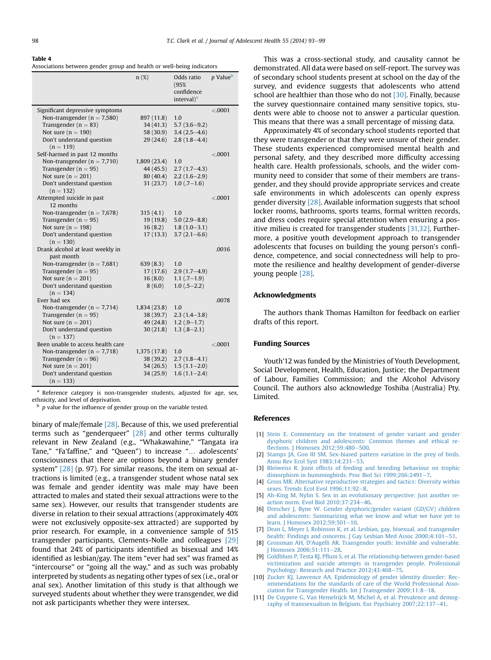#### <span id="page-5-0"></span>Table 4

|  |  | Associations between gender group and health or well-being indicators |  |
|--|--|-----------------------------------------------------------------------|--|
|  |  |                                                                       |  |

|                                          | n(%)         | Odds ratio<br>(95%<br>confidence<br>interval $)^a$ | <i>p</i> Value <sup>b</sup> |
|------------------------------------------|--------------|----------------------------------------------------|-----------------------------|
| Significant depressive symptoms          |              |                                                    | < .0001                     |
| Non-transgender ( $n = 7,580$ )          | 897 (11.8)   | 1.0                                                |                             |
| Transgender ( $n = 83$ )                 | 34(41.3)     | $5.7(3.6-9.2)$                                     |                             |
| Not sure $(n = 190)$                     | 58 (30.9)    | $3.4(2.5-4.6)$                                     |                             |
| Don't understand question                | 29(24.6)     | $2.8(1.8-4.4)$                                     |                             |
| $(n = 119)$                              |              |                                                    |                             |
| Self-harmed in past 12 months            |              |                                                    | < 0.0001                    |
| Non-transgender ( $n = 7,710$ )          | 1,809(23.4)  | 1.0                                                |                             |
| Transgender ( $n = 95$ )                 | 44 (45.5)    | $2.7(1.7-4.3)$                                     |                             |
| Not sure $(n = 201)$                     | 80 (40.4)    | $2.2(1.6-2.9)$                                     |                             |
| Don't understand question                | 31(23.7)     | $1.0$ (.7-1.6)                                     |                             |
| $(n = 132)$                              |              |                                                    |                             |
| Attempted suicide in past                |              |                                                    | < .0001                     |
| 12 months                                |              |                                                    |                             |
| Non-transgender ( $n = 7,678$ )          | 315(4.1)     | 1.0                                                |                             |
| Transgender ( $n = 95$ )                 | 19(19.8)     | $5.0(2.9 - 8.8)$                                   |                             |
| Not sure $(n = 198)$                     | 16(8.2)      | $1.8(1.0-3.1)$                                     |                             |
| Don't understand question<br>$(n = 130)$ | 17(13.3)     | $3.7(2.1 - 6.6)$                                   |                             |
| Drank alcohol at least weekly in         |              |                                                    | .0016                       |
| past month                               |              |                                                    |                             |
| Non-transgender ( $n = 7,681$ )          | 639(8.3)     | 1.0                                                |                             |
| Transgender ( $n = 95$ )                 | 17(17.6)     | $2.9(1.7-4.9)$                                     |                             |
| Not sure $(n = 201)$                     | 16(8.0)      | $1.1(.7-1.9)$                                      |                             |
| Don't understand question                | 8(6.0)       | $1.0(.5-2.2)$                                      |                             |
| $(n = 134)$                              |              |                                                    |                             |
| Ever had sex                             |              |                                                    | .0078                       |
| Non-transgender ( $n = 7,714$ )          | 1,834(23.8)  | 1.0                                                |                             |
| Transgender ( $n = 95$ )                 | 38 (39.7)    | $2.3(1.4-3.8)$                                     |                             |
| Not sure $(n = 201)$                     | 49 (24.8)    | $1.2(.9-1.7)$                                      |                             |
| Don't understand question                | 30(21.8)     | $1.3(.8-2.1)$                                      |                             |
| $(n = 137)$                              |              |                                                    |                             |
| Been unable to access health care        |              |                                                    | < 0.0001                    |
| Non-transgender ( $n = 7,718$ )          | 1,375 (17.8) | 1.0                                                |                             |
| Transgender ( $n = 96$ )                 | 38 (39.2)    | $2.7(1.8-4.1)$                                     |                             |
| Not sure $(n = 201)$                     | 54 (26.5)    | $1.5(1.1-2.0)$                                     |                             |
| Don't understand question                | 34(25.9)     | $1.6(1.1-2.4)$                                     |                             |
| $(n = 133)$                              |              |                                                    |                             |

<sup>a</sup> Reference category is non-transgender students, adjusted for age, sex, ethnicity, and level of deprivation.

p value for the influence of gender group on the variable tested.

binary of male/female [\[28\].](#page-6-0) Because of this, we used preferential terms such as "genderqueer" [\[28\]](#page-6-0) and other terms culturally relevant in New Zealand (e.g., "Whakawahine," "Tangata ira Tane," "Fa'faffine," and "Queen") to increase "... adolescents' consciousness that there are options beyond a binary gender system" [\[28\]](#page-6-0) (p. 97). For similar reasons, the item on sexual attractions is limited (e.g., a transgender student whose natal sex was female and gender identity was male may have been attracted to males and stated their sexual attractions were to the same sex). However, our results that transgender students are diverse in relation to their sexual attractions (approximately 40% were not exclusively opposite-sex attracted) are supported by prior research. For example, in a convenience sample of 515 transgender participants, Clements-Nolle and colleagues [\[29\]](#page-6-0) found that 24% of participants identified as bisexual and 14% identified as lesbian/gay. The item "ever had sex" was framed as "intercourse" or "going all the way," and as such was probably interpreted by students as negating other types of sex (i.e., oral or anal sex). Another limitation of this study is that although we surveyed students about whether they were transgender, we did not ask participants whether they were intersex.

This was a cross-sectional study, and causality cannot be demonstrated. All data were based on self-report. The survey was of secondary school students present at school on the day of the survey, and evidence suggests that adolescents who attend school are healthier than those who do not [\[30\]](#page-6-0). Finally, because the survey questionnaire contained many sensitive topics, students were able to choose not to answer a particular question. This means that there was a small percentage of missing data.

Approximately 4% of secondary school students reported that they were transgender or that they were unsure of their gender. These students experienced compromised mental health and personal safety, and they described more difficulty accessing health care. Health professionals, schools, and the wider community need to consider that some of their members are transgender, and they should provide appropriate services and create safe environments in which adolescents can openly express gender diversity [\[28\]](#page-6-0). Available information suggests that school locker rooms, bathrooms, sports teams, formal written records, and dress codes require special attention when ensuring a positive milieu is created for transgender students [\[31,32\]](#page-6-0). Furthermore, a positive youth development approach to transgender adolescents that focuses on building the young person's confidence, competence, and social connectedness will help to promote the resilience and healthy development of gender-diverse young people [\[28\].](#page-6-0)

## Acknowledgments

The authors thank Thomas Hamilton for feedback on earlier drafts of this report.

## Funding Sources

Youth'12 was funded by the Ministries of Youth Development, Social Development, Health, Education, Justice; the Department of Labour, Families Commission; and the Alcohol Advisory Council. The authors also acknowledge Toshiba (Australia) Pty. Limited.

## References

- [1] [Stein E. Commentary on the treatment of gender variant and gender](http://refhub.elsevier.com/S1054-139X(13)00753-2/sref1) [dysphoric children and adolescents: Common themes and ethical re](http://refhub.elsevier.com/S1054-139X(13)00753-2/sref1)fl[ections. J Homosex 2012;59:480](http://refhub.elsevier.com/S1054-139X(13)00753-2/sref1)-[500.](http://refhub.elsevier.com/S1054-139X(13)00753-2/sref1)
- [2] [Stamps JA, Gon III SM. Sex-biased pattern variation in the prey of birds.](http://refhub.elsevier.com/S1054-139X(13)00753-2/sref2) [Annu Rev Ecol Syst 1983;14:231](http://refhub.elsevier.com/S1054-139X(13)00753-2/sref2)-[53.](http://refhub.elsevier.com/S1054-139X(13)00753-2/sref2)
- [3] [Bleiweiss R. Joint effects of feeding and breeding behaviour on trophic](http://refhub.elsevier.com/S1054-139X(13)00753-2/sref3) [dimorphism in hummingbirds. Proc Biol Sci 1999;266:2491](http://refhub.elsevier.com/S1054-139X(13)00753-2/sref3)-[7.](http://refhub.elsevier.com/S1054-139X(13)00753-2/sref3)
- [4] [Gross MR. Alternative reproductive strategies and tactics: Diversity within](http://refhub.elsevier.com/S1054-139X(13)00753-2/sref4) sexes. Trends Ecol Evol 1996:11:92-[8](http://refhub.elsevier.com/S1054-139X(13)00753-2/sref4).
- [5] [Ah-King M, Nylin S. Sex in an evolutionary perspective: Just another re](http://refhub.elsevier.com/S1054-139X(13)00753-2/sref5)[action norm. Evol Biol 2010;37:234](http://refhub.elsevier.com/S1054-139X(13)00753-2/sref5)-[46.](http://refhub.elsevier.com/S1054-139X(13)00753-2/sref5)
- [6] [Drescher J, Byne W. Gender dysphoric/gender variant \(GD/GV\) children](http://refhub.elsevier.com/S1054-139X(13)00753-2/sref6) [and adolescents: Summarizing what we know and what we have yet to](http://refhub.elsevier.com/S1054-139X(13)00753-2/sref6) [learn. J Homosex 2012;59:501](http://refhub.elsevier.com/S1054-139X(13)00753-2/sref6)-[10.](http://refhub.elsevier.com/S1054-139X(13)00753-2/sref6)
- [7] [Dean L, Meyer I, Robinson K, et al. Lesbian, gay, bisexual, and transgender](http://refhub.elsevier.com/S1054-139X(13)00753-2/sref7) [health: Findings and concerns. J Gay Lesbian Med Assoc 2000;4:101](http://refhub.elsevier.com/S1054-139X(13)00753-2/sref7)-[51.](http://refhub.elsevier.com/S1054-139X(13)00753-2/sref7)
- [8] Grossman AH, D'[Augelli AR. Transgender youth: Invisible and vulnerable.](http://refhub.elsevier.com/S1054-139X(13)00753-2/sref8) [J Homosex 2006;51:111](http://refhub.elsevier.com/S1054-139X(13)00753-2/sref8)-[28.](http://refhub.elsevier.com/S1054-139X(13)00753-2/sref8)
- [9] Goldblum P, Testa RJ, Pfl[um S, et al. The relationship between gender-based](http://refhub.elsevier.com/S1054-139X(13)00753-2/sref9) [victimization and suicide attempts in transgender people. Professional](http://refhub.elsevier.com/S1054-139X(13)00753-2/sref9) [Psychology: Research and Practice 2012;43:468](http://refhub.elsevier.com/S1054-139X(13)00753-2/sref9)-[75](http://refhub.elsevier.com/S1054-139X(13)00753-2/sref9).
- [10] [Zucker KJ, Lawrence AA. Epidemiology of gender identity disorder: Rec](http://refhub.elsevier.com/S1054-139X(13)00753-2/sref10)[ommendations for the standards of care of the World Professional Asso](http://refhub.elsevier.com/S1054-139X(13)00753-2/sref10)[ciation for Transgender Health. Int J Transgender 2009;11:8](http://refhub.elsevier.com/S1054-139X(13)00753-2/sref10)-[18.](http://refhub.elsevier.com/S1054-139X(13)00753-2/sref10)
- [11] [De Cuypere G, Van Hemelrijck M, Michel A, et al. Prevalence and demog](http://refhub.elsevier.com/S1054-139X(13)00753-2/sref11)[raphy of transsexualism in Belgium. Eur Psychiatry 2007;22:137](http://refhub.elsevier.com/S1054-139X(13)00753-2/sref11)-[41.](http://refhub.elsevier.com/S1054-139X(13)00753-2/sref11)